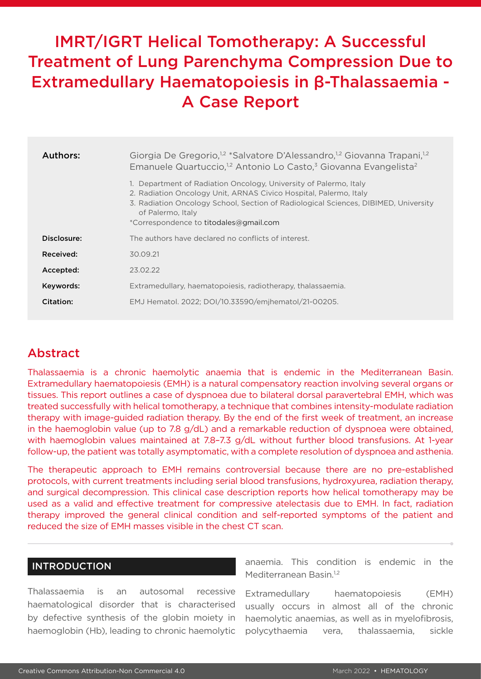# IMRT/IGRT Helical Tomotherapy: A Successful Treatment of Lung Parenchyma Compression Due to Extramedullary Haematopoiesis in β-Thalassaemia - A Case Report

| Authors:    | Giorgia De Gregorio, <sup>12</sup> *Salvatore D'Alessandro, <sup>12</sup> Giovanna Trapani, <sup>12</sup><br>Emanuele Quartuccio, <sup>1,2</sup> Antonio Lo Casto, <sup>3</sup> Giovanna Evangelista <sup>2</sup>                                                                            |
|-------------|----------------------------------------------------------------------------------------------------------------------------------------------------------------------------------------------------------------------------------------------------------------------------------------------|
|             | 1. Department of Radiation Oncology, University of Palermo, Italy<br>2. Radiation Oncology Unit, ARNAS Civico Hospital, Palermo, Italy<br>3. Radiation Oncology School, Section of Radiological Sciences, DIBIMED, University<br>of Palermo, Italy<br>*Correspondence to titodales@gmail.com |
| Disclosure: | The authors have declared no conflicts of interest.                                                                                                                                                                                                                                          |
| Received:   | 30.09.21                                                                                                                                                                                                                                                                                     |
| Accepted:   | 23.02.22                                                                                                                                                                                                                                                                                     |
| Keywords:   | Extramedullary, haematopoiesis, radiotherapy, thalassaemia.                                                                                                                                                                                                                                  |
| Citation:   | EMJ Hematol. 2022; DOI/10.33590/emjhematol/21-00205.                                                                                                                                                                                                                                         |

## Abstract

Thalassaemia is a chronic haemolytic anaemia that is endemic in the Mediterranean Basin. Extramedullary haematopoiesis (EMH) is a natural compensatory reaction involving several organs or tissues. This report outlines a case of dyspnoea due to bilateral dorsal paravertebral EMH, which was treated successfully with helical tomotherapy, a technique that combines intensity-modulate radiation therapy with image-guided radiation therapy. By the end of the first week of treatment, an increase in the haemoglobin value (up to 7.8 g/dL) and a remarkable reduction of dyspnoea were obtained, with haemoglobin values maintained at 7.8-7.3 g/dL without further blood transfusions. At 1-year follow-up, the patient was totally asymptomatic, with a complete resolution of dyspnoea and asthenia.

The therapeutic approach to EMH remains controversial because there are no pre-established protocols, with current treatments including serial blood transfusions, hydroxyurea, radiation therapy, and surgical decompression. This clinical case description reports how helical tomotherapy may be used as a valid and effective treatment for compressive atelectasis due to EMH. In fact, radiation therapy improved the general clinical condition and self-reported symptoms of the patient and reduced the size of EMH masses visible in the chest CT scan.

### INTRODUCTION

Thalassaemia is an autosomal recessive haematological disorder that is characterised by defective synthesis of the globin moiety in haemoglobin (Hb), leading to chronic haemolytic anaemia. This condition is endemic in the Mediterranean Basin.<sup>1,2</sup>

Extramedullary haematopoiesis (EMH) usually occurs in almost all of the chronic haemolytic anaemias, as well as in myelofibrosis, polycythaemia vera, thalassaemia, sickle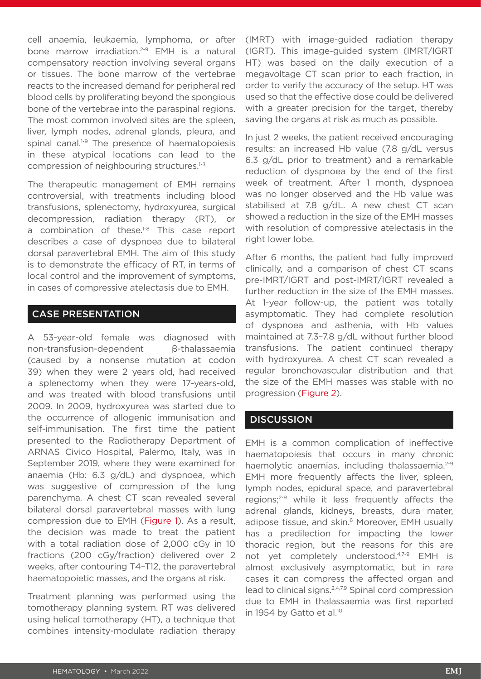cell anaemia, leukaemia, lymphoma, or after bone marrow irradiation.<sup>2-9</sup> EMH is a natural compensatory reaction involving several organs or tissues. The bone marrow of the vertebrae reacts to the increased demand for peripheral red blood cells by proliferating beyond the spongious bone of the vertebrae into the paraspinal regions. The most common involved sites are the spleen, liver, lymph nodes, adrenal glands, pleura, and spinal canal.<sup>1-9</sup> The presence of haematopoiesis in these atypical locations can lead to the compression of neighbouring structures.<sup>1-3</sup>

The therapeutic management of EMH remains controversial, with treatments including blood transfusions, splenectomy, hydroxyurea, surgical decompression, radiation therapy (RT), or a combination of these.<sup>1-8</sup> This case report describes a case of dyspnoea due to bilateral dorsal paravertebral EMH. The aim of this study is to demonstrate the efficacy of RT, in terms of local control and the improvement of symptoms, in cases of compressive atelectasis due to EMH.

#### CASE PRESENTATION

A 53-year-old female was diagnosed with non-transfusion-dependent β-thalassaemia (caused by a nonsense mutation at codon 39) when they were 2 years old, had received a splenectomy when they were 17-years-old, and was treated with blood transfusions until 2009. In 2009, hydroxyurea was started due to the occurrence of allogenic immunisation and self-immunisation. The first time the patient presented to the Radiotherapy Department of ARNAS Civico Hospital, Palermo, Italy, was in September 2019, where they were examined for anaemia (Hb: 6.3 g/dL) and dyspnoea, which was suggestive of compression of the lung parenchyma. A chest CT scan revealed several bilateral dorsal paravertebral masses with lung compression due to EMH (Figure 1). As a result, the decision was made to treat the patient with a total radiation dose of 2,000 cGy in 10 fractions (200 cGy/fraction) delivered over 2 weeks, after contouring T4–T12, the paravertebral haematopoietic masses, and the organs at risk.

Treatment planning was performed using the tomotherapy planning system. RT was delivered using helical tomotherapy (HT), a technique that combines intensity-modulate radiation therapy

(IMRT) with image-guided radiation therapy (IGRT). This image-guided system (IMRT/IGRT HT) was based on the daily execution of a megavoltage CT scan prior to each fraction, in order to verify the accuracy of the setup. HT was used so that the effective dose could be delivered with a greater precision for the target, thereby saving the organs at risk as much as possible.

In just 2 weeks, the patient received encouraging results: an increased Hb value (7.8 g/dL versus 6.3 g/dL prior to treatment) and a remarkable reduction of dyspnoea by the end of the first week of treatment. After 1 month, dyspnoea was no longer observed and the Hb value was stabilised at 7.8 g/dL. A new chest CT scan showed a reduction in the size of the EMH masses with resolution of compressive atelectasis in the right lower lobe.

After 6 months, the patient had fully improved clinically, and a comparison of chest CT scans pre-IMRT/IGRT and post-IMRT/IGRT revealed a further reduction in the size of the EMH masses. At 1-year follow-up, the patient was totally asymptomatic. They had complete resolution of dyspnoea and asthenia, with Hb values maintained at 7.3–7.8 g/dL without further blood transfusions. The patient continued therapy with hydroxyurea. A chest CT scan revealed a regular bronchovascular distribution and that the size of the EMH masses was stable with no progression (Figure 2).

#### **DISCUSSION**

EMH is a common complication of ineffective haematopoiesis that occurs in many chronic haemolytic anaemias, including thalassaemia.<sup>2-9</sup> EMH more frequently affects the liver, spleen, lymph nodes, epidural space, and paravertebral regions;<sup>2-9</sup> while it less frequently affects the adrenal glands, kidneys, breasts, dura mater, adipose tissue, and skin.<sup>6</sup> Moreover, EMH usually has a predilection for impacting the lower thoracic region, but the reasons for this are not yet completely understood.4,7-9 EMH is almost exclusively asymptomatic, but in rare cases it can compress the affected organ and lead to clinical signs.2,4,7,9 Spinal cord compression due to EMH in thalassaemia was first reported in 1954 by Gatto et al.<sup>10</sup>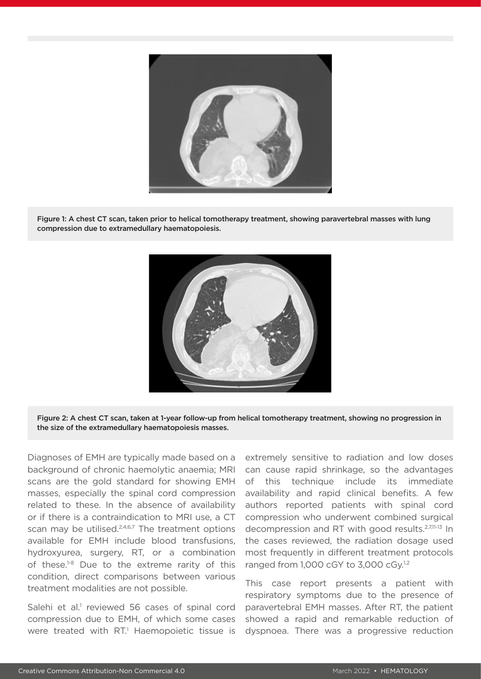

Figure 1: A chest CT scan, taken prior to helical tomotherapy treatment, showing paravertebral masses with lung compression due to extramedullary haematopoiesis.





Diagnoses of EMH are typically made based on a background of chronic haemolytic anaemia; MRI scans are the gold standard for showing EMH masses, especially the spinal cord compression related to these. In the absence of availability or if there is a contraindication to MRI use, a CT scan may be utilised.<sup>2,4,6,7</sup> The treatment options available for EMH include blood transfusions, hydroxyurea, surgery, RT, or a combination of these.<sup>1-8</sup> Due to the extreme rarity of this condition, direct comparisons between various treatment modalities are not possible.

Salehi et al.<sup>1</sup> reviewed 56 cases of spinal cord compression due to EMH, of which some cases were treated with RT.<sup>1</sup> Haemopoietic tissue is

extremely sensitive to radiation and low doses can cause rapid shrinkage, so the advantages of this technique include its immediate availability and rapid clinical benefits. A few authors reported patients with spinal cord compression who underwent combined surgical decompression and RT with good results.2,7,11-13 In the cases reviewed, the radiation dosage used most frequently in different treatment protocols ranged from 1,000 cGY to 3,000 cGy.<sup>1,2</sup>

This case report presents a patient with respiratory symptoms due to the presence of paravertebral EMH masses. After RT, the patient showed a rapid and remarkable reduction of dyspnoea. There was a progressive reduction